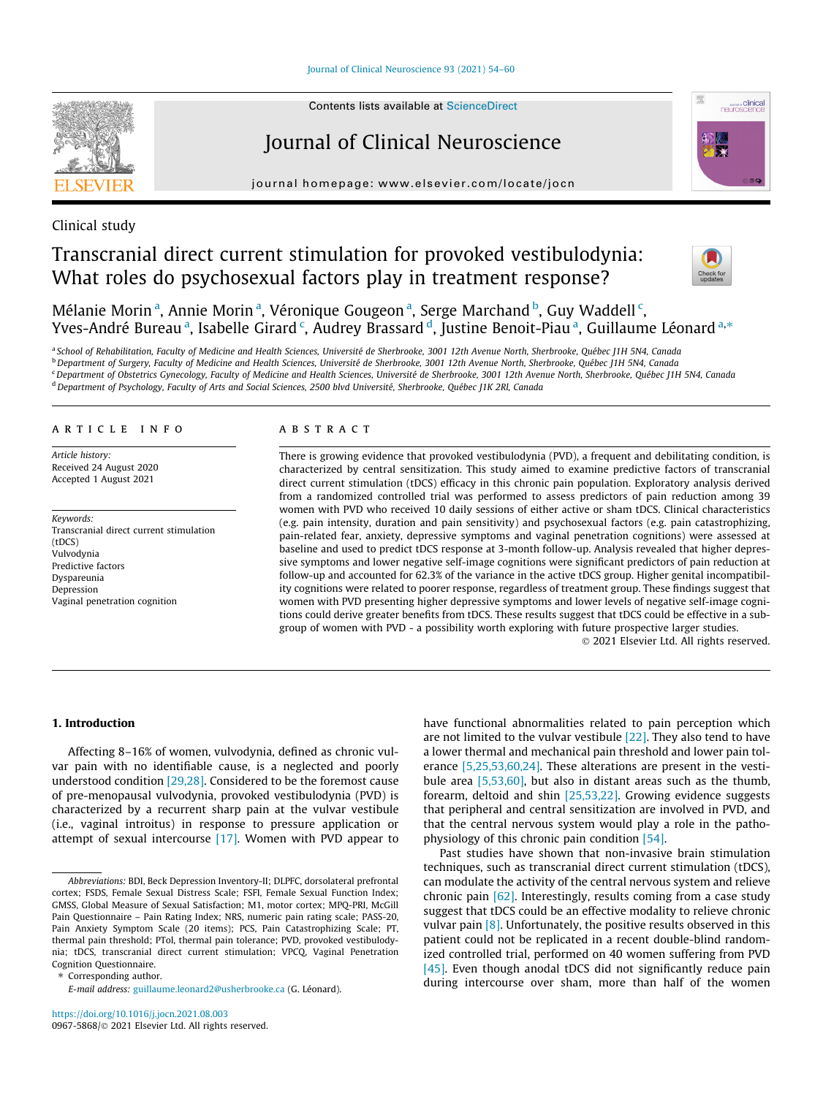[Journal of Clinical Neuroscience 93 \(2021\) 54–60](https://doi.org/10.1016/j.jocn.2021.08.003)



# Journal of Clinical Neuroscience

journal homepage: [www.elsevier.com/locate/jocn](http://www.elsevier.com/locate/jocn)



# Clinical study

# Transcranial direct current stimulation for provoked vestibulodynia: What roles do psychosexual factors play in treatment response?



Mélanie Morin<sup>a</sup>, Annie Morin<sup>a</sup>, Véronique Gougeon<sup>a</sup>, Serge Marchand<sup>b</sup>, Guy Waddell<sup>c</sup>, Yves-André Bureau <sup>a</sup>, Isabelle Girard <sup>c</sup>, Audrey Brassard <sup>d</sup>, Justine Benoit-Piau <sup>a</sup>, Guillaume Léonard <sup>a,</sup>\*

a School of Rehabilitation, Faculty of Medicine and Health Sciences, Université de Sherbrooke, 3001 12th Avenue North, Sherbrooke, Québec J1H 5N4, Canada <sup>b</sup> Department of Surgery, Faculty of Medicine and Health Sciences, Université de Sherbrooke, 3001 12th Avenue North, Sherbrooke, Québec J1H 5N4, Canada <sup>c</sup> Department of Obstetrics Gynecology, Faculty of Medicine and Health Sciences, Université de Sherbrooke, 3001 12th Avenue North, Sherbrooke, Québec J1H 5N4, Canada

<sup>d</sup> Department of Psychology, Faculty of Arts and Social Sciences, 2500 blvd Université, Sherbrooke, Québec J1K 2Rl, Canada

# article info

Article history: Received 24 August 2020 Accepted 1 August 2021

Keywords: Transcranial direct current stimulation  $(fDCS)$ Vulvodynia Predictive factors Dyspareunia Depression Vaginal penetration cognition

### ABSTRACT

There is growing evidence that provoked vestibulodynia (PVD), a frequent and debilitating condition, is characterized by central sensitization. This study aimed to examine predictive factors of transcranial direct current stimulation (tDCS) efficacy in this chronic pain population. Exploratory analysis derived from a randomized controlled trial was performed to assess predictors of pain reduction among 39 women with PVD who received 10 daily sessions of either active or sham tDCS. Clinical characteristics (e.g. pain intensity, duration and pain sensitivity) and psychosexual factors (e.g. pain catastrophizing, pain-related fear, anxiety, depressive symptoms and vaginal penetration cognitions) were assessed at baseline and used to predict tDCS response at 3-month follow-up. Analysis revealed that higher depressive symptoms and lower negative self-image cognitions were significant predictors of pain reduction at follow-up and accounted for 62.3% of the variance in the active tDCS group. Higher genital incompatibility cognitions were related to poorer response, regardless of treatment group. These findings suggest that women with PVD presenting higher depressive symptoms and lower levels of negative self-image cognitions could derive greater benefits from tDCS. These results suggest that tDCS could be effective in a subgroup of women with PVD - a possibility worth exploring with future prospective larger studies.

2021 Elsevier Ltd. All rights reserved.

## 1. Introduction

Affecting 8–16% of women, vulvodynia, defined as chronic vulvar pain with no identifiable cause, is a neglected and poorly understood condition [\[29,28\].](#page-5-0) Considered to be the foremost cause of pre-menopausal vulvodynia, provoked vestibulodynia (PVD) is characterized by a recurrent sharp pain at the vulvar vestibule (i.e., vaginal introitus) in response to pressure application or attempt of sexual intercourse [\[17\].](#page-5-0) Women with PVD appear to

⇑ Corresponding author.

E-mail address: [guillaume.leonard2@usherbrooke.ca](mailto:guillaume.leonard2@usherbrooke.ca) (G. Léonard).

have functional abnormalities related to pain perception which are not limited to the vulvar vestibule [\[22\]](#page-5-0). They also tend to have a lower thermal and mechanical pain threshold and lower pain tolerance [\[5,25,53,60,24\].](#page-5-0) These alterations are present in the vestibule area [\[5,53,60\]](#page-5-0), but also in distant areas such as the thumb, forearm, deltoid and shin [\[25,53,22\]](#page-5-0). Growing evidence suggests that peripheral and central sensitization are involved in PVD, and that the central nervous system would play a role in the pathophysiology of this chronic pain condition [\[54\].](#page-5-0)

Past studies have shown that non-invasive brain stimulation techniques, such as transcranial direct current stimulation (tDCS), can modulate the activity of the central nervous system and relieve chronic pain [\[62\].](#page-6-0) Interestingly, results coming from a case study suggest that tDCS could be an effective modality to relieve chronic vulvar pain  $[8]$ . Unfortunately, the positive results observed in this patient could not be replicated in a recent double-blind randomized controlled trial, performed on 40 women suffering from PVD [\[45\]](#page-5-0). Even though anodal tDCS did not significantly reduce pain during intercourse over sham, more than half of the women

Abbreviations: BDI, Beck Depression Inventory-II; DLPFC, dorsolateral prefrontal cortex; FSDS, Female Sexual Distress Scale; FSFI, Female Sexual Function Index; GMSS, Global Measure of Sexual Satisfaction; M1, motor cortex; MPQ-PRI, McGill Pain Questionnaire – Pain Rating Index; NRS, numeric pain rating scale; PASS-20, Pain Anxiety Symptom Scale (20 items); PCS, Pain Catastrophizing Scale; PT, thermal pain threshold; PTol, thermal pain tolerance; PVD, provoked vestibulodynia; tDCS, transcranial direct current stimulation; VPCQ, Vaginal Penetration Cognition Questionnaire.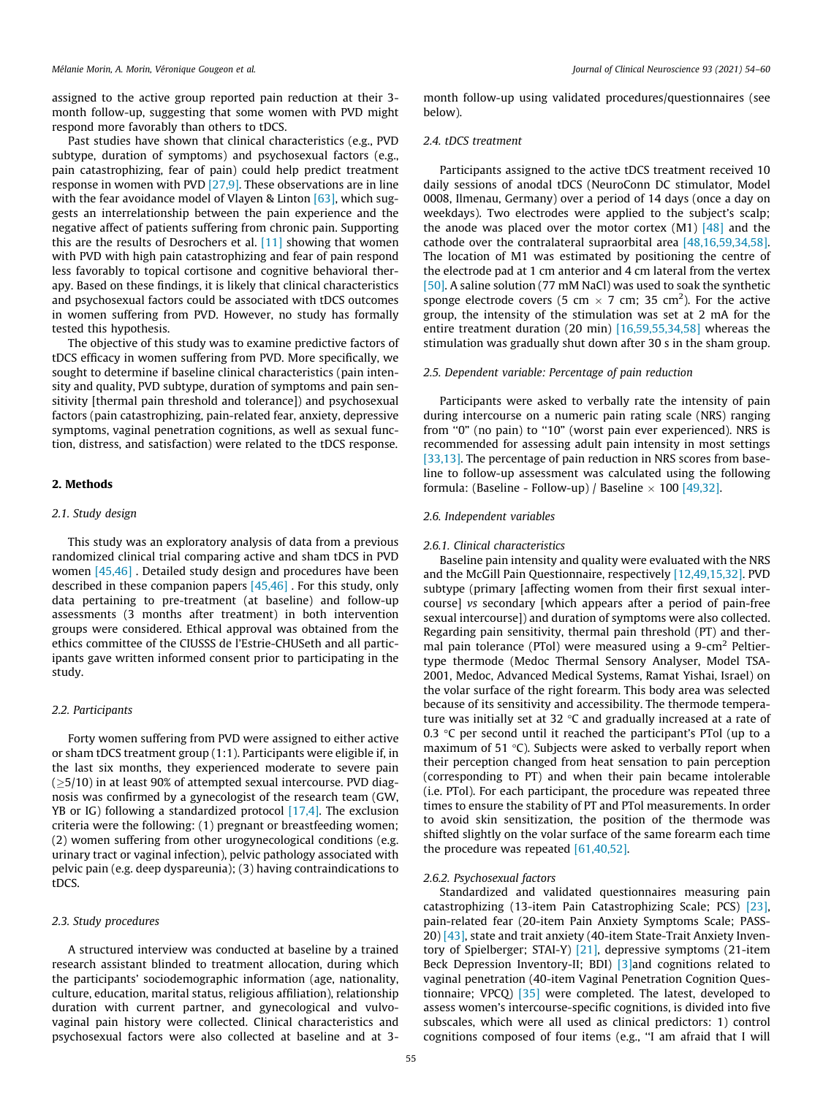assigned to the active group reported pain reduction at their 3 month follow-up, suggesting that some women with PVD might respond more favorably than others to tDCS.

Past studies have shown that clinical characteristics (e.g., PVD subtype, duration of symptoms) and psychosexual factors (e.g., pain catastrophizing, fear of pain) could help predict treatment response in women with PVD [\[27,9\].](#page-5-0) These observations are in line with the fear avoidance model of Vlayen & Linton [\[63\],](#page-6-0) which suggests an interrelationship between the pain experience and the negative affect of patients suffering from chronic pain. Supporting this are the results of Desrochers et al. [\[11\]](#page-5-0) showing that women with PVD with high pain catastrophizing and fear of pain respond less favorably to topical cortisone and cognitive behavioral therapy. Based on these findings, it is likely that clinical characteristics and psychosexual factors could be associated with tDCS outcomes in women suffering from PVD. However, no study has formally tested this hypothesis.

The objective of this study was to examine predictive factors of tDCS efficacy in women suffering from PVD. More specifically, we sought to determine if baseline clinical characteristics (pain intensity and quality, PVD subtype, duration of symptoms and pain sensitivity [thermal pain threshold and tolerance]) and psychosexual factors (pain catastrophizing, pain-related fear, anxiety, depressive symptoms, vaginal penetration cognitions, as well as sexual function, distress, and satisfaction) were related to the tDCS response.

#### 2. Methods

### 2.1. Study design

This study was an exploratory analysis of data from a previous randomized clinical trial comparing active and sham tDCS in PVD women [\[45,46\]](#page-5-0) . Detailed study design and procedures have been described in these companion papers [\[45,46\]](#page-5-0) . For this study, only data pertaining to pre-treatment (at baseline) and follow-up assessments (3 months after treatment) in both intervention groups were considered. Ethical approval was obtained from the ethics committee of the CIUSSS de l'Estrie-CHUSeth and all participants gave written informed consent prior to participating in the study.

# 2.2. Participants

Forty women suffering from PVD were assigned to either active or sham tDCS treatment group (1:1). Participants were eligible if, in the last six months, they experienced moderate to severe pain  $(≥5/10)$  in at least 90% of attempted sexual intercourse. PVD diagnosis was confirmed by a gynecologist of the research team (GW, YB or IG) following a standardized protocol  $[17,4]$ . The exclusion criteria were the following: (1) pregnant or breastfeeding women; (2) women suffering from other urogynecological conditions (e.g. urinary tract or vaginal infection), pelvic pathology associated with pelvic pain (e.g. deep dyspareunia); (3) having contraindications to tDCS.

#### 2.3. Study procedures

A structured interview was conducted at baseline by a trained research assistant blinded to treatment allocation, during which the participants' sociodemographic information (age, nationality, culture, education, marital status, religious affiliation), relationship duration with current partner, and gynecological and vulvovaginal pain history were collected. Clinical characteristics and psychosexual factors were also collected at baseline and at 3-

month follow-up using validated procedures/questionnaires (see below).

#### 2.4. tDCS treatment

Participants assigned to the active tDCS treatment received 10 daily sessions of anodal tDCS (NeuroConn DC stimulator, Model 0008, Ilmenau, Germany) over a period of 14 days (once a day on weekdays). Two electrodes were applied to the subject's scalp; the anode was placed over the motor cortex  $(M1)$  [\[48\]](#page-5-0) and the cathode over the contralateral supraorbital area [\[48,16,59,34,58\].](#page-5-0) The location of M1 was estimated by positioning the centre of the electrode pad at 1 cm anterior and 4 cm lateral from the vertex [\[50\].](#page-5-0) A saline solution (77 mM NaCl) was used to soak the synthetic sponge electrode covers (5 cm  $\times$  7 cm; 35 cm<sup>2</sup>). For the active group, the intensity of the stimulation was set at 2 mA for the entire treatment duration (20 min) [\[16,59,55,34,58\]](#page-5-0) whereas the stimulation was gradually shut down after 30 s in the sham group.

#### 2.5. Dependent variable: Percentage of pain reduction

Participants were asked to verbally rate the intensity of pain during intercourse on a numeric pain rating scale (NRS) ranging from "0" (no pain) to "10" (worst pain ever experienced). NRS is recommended for assessing adult pain intensity in most settings [\[33,13\]](#page-5-0). The percentage of pain reduction in NRS scores from baseline to follow-up assessment was calculated using the following formula: (Baseline - Follow-up) / Baseline  $\times$  100 [\[49,32\].](#page-5-0)

#### 2.6. Independent variables

#### 2.6.1. Clinical characteristics

Baseline pain intensity and quality were evaluated with the NRS and the McGill Pain Questionnaire, respectively [\[12,49,15,32\].](#page-5-0) PVD subtype (primary [affecting women from their first sexual intercourse] vs secondary [which appears after a period of pain-free sexual intercourse]) and duration of symptoms were also collected. Regarding pain sensitivity, thermal pain threshold (PT) and thermal pain tolerance (PTol) were measured using a 9-cm<sup>2</sup> Peltiertype thermode (Medoc Thermal Sensory Analyser, Model TSA-2001, Medoc, Advanced Medical Systems, Ramat Yishai, Israel) on the volar surface of the right forearm. This body area was selected because of its sensitivity and accessibility. The thermode temperature was initially set at 32  $\degree$ C and gradually increased at a rate of 0.3  $\degree$ C per second until it reached the participant's PTol (up to a maximum of 51 $^{\circ}$ C). Subjects were asked to verbally report when their perception changed from heat sensation to pain perception (corresponding to PT) and when their pain became intolerable (i.e. PTol). For each participant, the procedure was repeated three times to ensure the stability of PT and PTol measurements. In order to avoid skin sensitization, the position of the thermode was shifted slightly on the volar surface of the same forearm each time the procedure was repeated  $[61,40,52]$ .

#### 2.6.2. Psychosexual factors

Standardized and validated questionnaires measuring pain catastrophizing (13-item Pain Catastrophizing Scale; PCS) [\[23\],](#page-5-0) pain-related fear (20-item Pain Anxiety Symptoms Scale; PASS-20) [\[43\],](#page-5-0) state and trait anxiety (40-item State-Trait Anxiety Inventory of Spielberger; STAI-Y) [\[21\],](#page-5-0) depressive symptoms (21-item Beck Depression Inventory-II; BDI) [\[3\]a](#page-5-0)nd cognitions related to vaginal penetration (40-item Vaginal Penetration Cognition Questionnaire; VPCQ) [\[35\]](#page-5-0) were completed. The latest, developed to assess women's intercourse-specific cognitions, is divided into five subscales, which were all used as clinical predictors: 1) control cognitions composed of four items (e.g., ''I am afraid that I will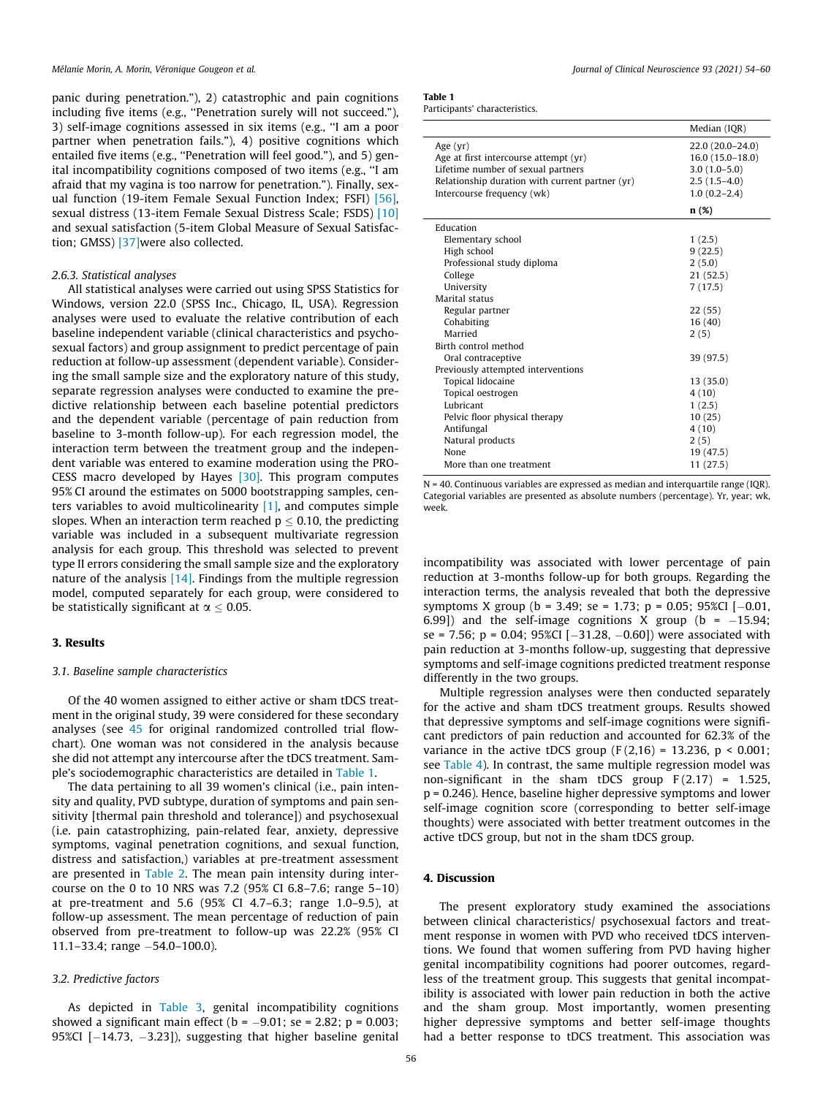panic during penetration."), 2) catastrophic and pain cognitions including five items (e.g., ''Penetration surely will not succeed."), 3) self-image cognitions assessed in six items (e.g., ''I am a poor partner when penetration fails."), 4) positive cognitions which entailed five items (e.g., "Penetration will feel good."), and 5) genital incompatibility cognitions composed of two items (e.g., ''I am afraid that my vagina is too narrow for penetration."). Finally, sexual function (19-item Female Sexual Function Index; FSFI) [\[56\],](#page-5-0) sexual distress (13-item Female Sexual Distress Scale; FSDS) [\[10\]](#page-5-0) and sexual satisfaction (5-item Global Measure of Sexual Satisfaction; GMSS) [\[37\]](#page-5-0)were also collected.

#### 2.6.3. Statistical analyses

All statistical analyses were carried out using SPSS Statistics for Windows, version 22.0 (SPSS Inc., Chicago, IL, USA). Regression analyses were used to evaluate the relative contribution of each baseline independent variable (clinical characteristics and psychosexual factors) and group assignment to predict percentage of pain reduction at follow-up assessment (dependent variable). Considering the small sample size and the exploratory nature of this study, separate regression analyses were conducted to examine the predictive relationship between each baseline potential predictors and the dependent variable (percentage of pain reduction from baseline to 3-month follow-up). For each regression model, the interaction term between the treatment group and the independent variable was entered to examine moderation using the PRO-CESS macro developed by Hayes [\[30\]](#page-5-0). This program computes 95% CI around the estimates on 5000 bootstrapping samples, centers variables to avoid multicolinearity  $[1]$ , and computes simple slopes. When an interaction term reached  $p \le 0.10$ , the predicting variable was included in a subsequent multivariate regression analysis for each group. This threshold was selected to prevent type II errors considering the small sample size and the exploratory nature of the analysis [\[14\]](#page-5-0). Findings from the multiple regression model, computed separately for each group, were considered to be statistically significant at  $\alpha \leq 0.05$ .

#### 3. Results

#### 3.1. Baseline sample characteristics

Of the 40 women assigned to either active or sham tDCS treatment in the original study, 39 were considered for these secondary analyses (see [45](#page-5-0) for original randomized controlled trial flowchart). One woman was not considered in the analysis because she did not attempt any intercourse after the tDCS treatment. Sample's sociodemographic characteristics are detailed in Table 1.

The data pertaining to all 39 women's clinical (i.e., pain intensity and quality, PVD subtype, duration of symptoms and pain sensitivity [thermal pain threshold and tolerance]) and psychosexual (i.e. pain catastrophizing, pain-related fear, anxiety, depressive symptoms, vaginal penetration cognitions, and sexual function, distress and satisfaction,) variables at pre-treatment assessment are presented in [Table 2.](#page-3-0) The mean pain intensity during intercourse on the 0 to 10 NRS was 7.2 (95% CI 6.8–7.6; range 5–10) at pre-treatment and 5.6 (95% CI 4.7–6.3; range 1.0–9.5), at follow-up assessment. The mean percentage of reduction of pain observed from pre-treatment to follow-up was 22.2% (95% CI  $11.1 - 33.4$ ; range  $-54.0 - 100.0$ ).

#### 3.2. Predictive factors

As depicted in [Table 3,](#page-4-0) genital incompatibility cognitions showed a significant main effect ( $b = -9.01$ ; se = 2.82;  $p = 0.003$ ; 95%CI  $[-14.73, -3.23]$ , suggesting that higher baseline genital

Participants' characteristics.

|                                                                                                                                                                            | Median (IQR)                                                                                    |
|----------------------------------------------------------------------------------------------------------------------------------------------------------------------------|-------------------------------------------------------------------------------------------------|
| Age $(vr)$<br>Age at first intercourse attempt (yr)<br>Lifetime number of sexual partners<br>Relationship duration with current partner (yr)<br>Intercourse frequency (wk) | 22.0 (20.0-24.0)<br>$16.0(15.0 - 18.0)$<br>$3.0(1.0-5.0)$<br>$2.5(1.5-4.0)$<br>$1.0(0.2 - 2.4)$ |
|                                                                                                                                                                            | n(%)                                                                                            |
| Education<br>Elementary school<br>High school                                                                                                                              | 1(2.5)<br>9(22.5)                                                                               |
| Professional study diploma                                                                                                                                                 | 2(5.0)                                                                                          |
| College                                                                                                                                                                    | 21(52.5)                                                                                        |
| University                                                                                                                                                                 | 7(17.5)                                                                                         |
| Marital status                                                                                                                                                             |                                                                                                 |
| Regular partner                                                                                                                                                            | 22(55)                                                                                          |
| Cohabiting                                                                                                                                                                 | 16(40)                                                                                          |
| Married                                                                                                                                                                    | 2(5)                                                                                            |
| Birth control method                                                                                                                                                       |                                                                                                 |
| Oral contraceptive                                                                                                                                                         | 39 (97.5)                                                                                       |
| Previously attempted interventions                                                                                                                                         |                                                                                                 |
| Topical lidocaine                                                                                                                                                          | 13 (35.0)                                                                                       |
| Topical oestrogen                                                                                                                                                          | 4(10)                                                                                           |
| Lubricant                                                                                                                                                                  | 1(2.5)                                                                                          |
| Pelvic floor physical therapy                                                                                                                                              | 10(25)                                                                                          |
| Antifungal                                                                                                                                                                 | 4(10)                                                                                           |
| Natural products                                                                                                                                                           | 2(5)                                                                                            |
| None                                                                                                                                                                       | 19 (47.5)                                                                                       |
| More than one treatment                                                                                                                                                    | 11(27.5)                                                                                        |

 $N = 40$ . Continuous variables are expressed as median and interquartile range (IQR). Categorial variables are presented as absolute numbers (percentage). Yr, year; wk, week.

incompatibility was associated with lower percentage of pain reduction at 3-months follow-up for both groups. Regarding the interaction terms, the analysis revealed that both the depressive symptoms X group (b = 3.49; se = 1.73; p = 0.05; 95%CI  $[-0.01,$ 6.99]) and the self-image cognitions X group ( $b = -15.94$ ; se = 7.56; p = 0.04; 95%CI  $[-31.28, -0.60]$ ) were associated with pain reduction at 3-months follow-up, suggesting that depressive symptoms and self-image cognitions predicted treatment response differently in the two groups.

Multiple regression analyses were then conducted separately for the active and sham tDCS treatment groups. Results showed that depressive symptoms and self-image cognitions were significant predictors of pain reduction and accounted for 62.3% of the variance in the active tDCS group  $(F(2,16) = 13.236, p < 0.001;$ see [Table 4](#page-4-0)). In contrast, the same multiple regression model was non-significant in the sham tDCS group  $F(2.17) = 1.525$ , p = 0.246). Hence, baseline higher depressive symptoms and lower self-image cognition score (corresponding to better self-image thoughts) were associated with better treatment outcomes in the active tDCS group, but not in the sham tDCS group.

# 4. Discussion

The present exploratory study examined the associations between clinical characteristics/ psychosexual factors and treatment response in women with PVD who received tDCS interventions. We found that women suffering from PVD having higher genital incompatibility cognitions had poorer outcomes, regardless of the treatment group. This suggests that genital incompatibility is associated with lower pain reduction in both the active and the sham group. Most importantly, women presenting higher depressive symptoms and better self-image thoughts had a better response to tDCS treatment. This association was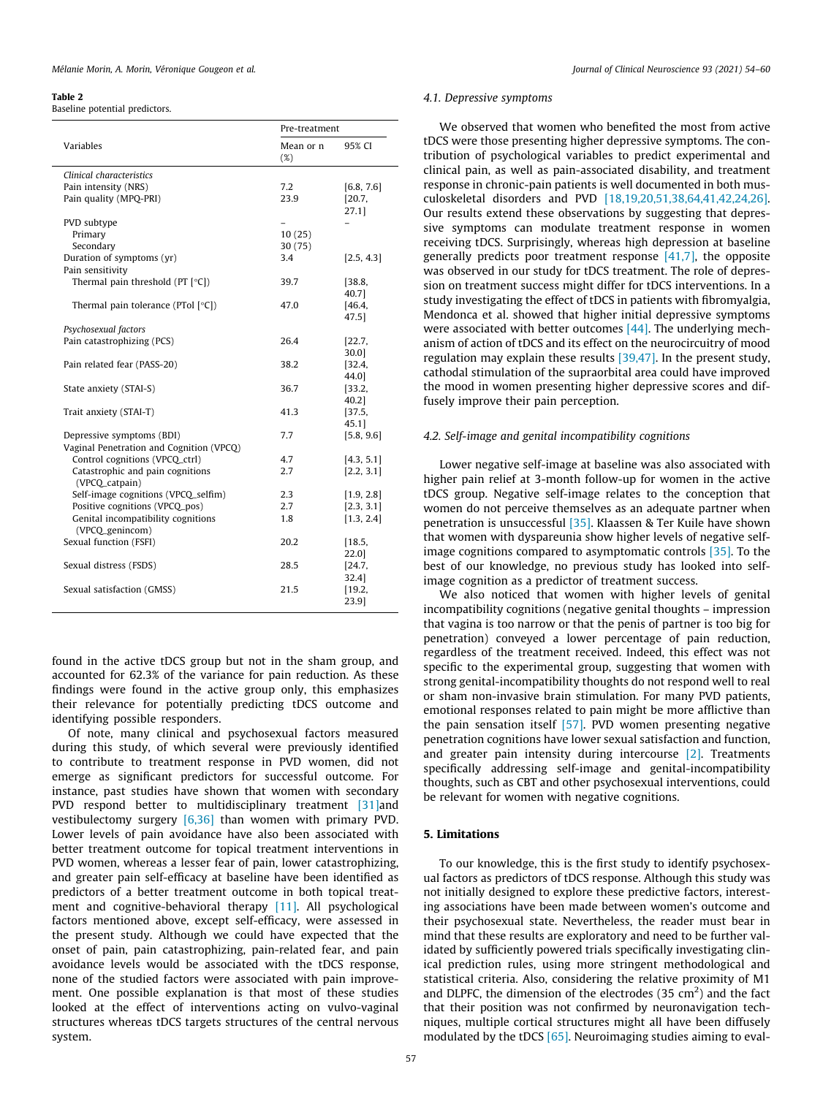#### <span id="page-3-0"></span>Table 2

Baseline potential predictors.

|                                          | Pre-treatment       |                |  |
|------------------------------------------|---------------------|----------------|--|
| Variables                                | Mean or n<br>$(\%)$ | 95% CI         |  |
| Clinical characteristics                 |                     |                |  |
| Pain intensity (NRS)                     | 7.2                 | [6.8, 7.6]     |  |
| Pain quality (MPO-PRI)                   | 23.9                | [20.7,         |  |
|                                          |                     | 27.1]          |  |
| PVD subtype                              |                     |                |  |
| Primary                                  | 10(25)              |                |  |
| Secondary                                | 30(75)              |                |  |
| Duration of symptoms (yr)                | 3.4                 | [2.5, 4.3]     |  |
| Pain sensitivity                         |                     |                |  |
| Thermal pain threshold ( $PT$ [ $°C$ ])  | 39.7                | [38.8,         |  |
|                                          |                     | 40.71          |  |
| Thermal pain tolerance (PTol $[°C]$ )    | 47.0                | [46.4,         |  |
|                                          |                     | 47.5           |  |
| Psychosexual factors                     |                     |                |  |
| Pain catastrophizing (PCS)               | 26.4                | [22.7,         |  |
|                                          | 38.2                | $30.0$ ]       |  |
| Pain related fear (PASS-20)              |                     | [32.4,<br>44.0 |  |
| State anxiety (STAI-S)                   | 36.7                | [33.2,         |  |
|                                          |                     | 40.2]          |  |
| Trait anxiety (STAI-T)                   | 41.3                | [37.5,         |  |
|                                          |                     | 45.1           |  |
| Depressive symptoms (BDI)                | 7.7                 | [5.8, 9.6]     |  |
| Vaginal Penetration and Cognition (VPCQ) |                     |                |  |
| Control cognitions (VPCQ_ctrl)           | 4.7                 | [4.3, 5.1]     |  |
| Catastrophic and pain cognitions         | 2.7                 | [2.2, 3.1]     |  |
| (VPCQ_catpain)                           |                     |                |  |
| Self-image cognitions (VPCQ_selfim)      | 2.3                 | [1.9, 2.8]     |  |
| Positive cognitions (VPCQ_pos)           | 2.7                 | [2.3, 3.1]     |  |
| Genital incompatibility cognitions       | 1.8                 | [1.3, 2.4]     |  |
| (VPCO_genincom)                          |                     |                |  |
| Sexual function (FSFI)                   | 20.2                | [18.5,         |  |
|                                          |                     | 22.0           |  |
| Sexual distress (FSDS)                   | 28.5                | [24.7,         |  |
|                                          |                     | $32.4$ ]       |  |
| Sexual satisfaction (GMSS)               | 21.5                | [19.2,         |  |
|                                          |                     | 23.9]          |  |

found in the active tDCS group but not in the sham group, and accounted for 62.3% of the variance for pain reduction. As these findings were found in the active group only, this emphasizes their relevance for potentially predicting tDCS outcome and identifying possible responders.

Of note, many clinical and psychosexual factors measured during this study, of which several were previously identified to contribute to treatment response in PVD women, did not emerge as significant predictors for successful outcome. For instance, past studies have shown that women with secondary PVD respond better to multidisciplinary treatment [\[31\]a](#page-5-0)nd vestibulectomy surgery [\[6,36\]](#page-5-0) than women with primary PVD. Lower levels of pain avoidance have also been associated with better treatment outcome for topical treatment interventions in PVD women, whereas a lesser fear of pain, lower catastrophizing, and greater pain self-efficacy at baseline have been identified as predictors of a better treatment outcome in both topical treatment and cognitive-behavioral therapy [\[11\].](#page-5-0) All psychological factors mentioned above, except self-efficacy, were assessed in the present study. Although we could have expected that the onset of pain, pain catastrophizing, pain-related fear, and pain avoidance levels would be associated with the tDCS response, none of the studied factors were associated with pain improvement. One possible explanation is that most of these studies looked at the effect of interventions acting on vulvo-vaginal structures whereas tDCS targets structures of the central nervous system.

#### 4.1. Depressive symptoms

We observed that women who benefited the most from active tDCS were those presenting higher depressive symptoms. The contribution of psychological variables to predict experimental and clinical pain, as well as pain-associated disability, and treatment response in chronic-pain patients is well documented in both musculoskeletal disorders and PVD [\[18,19,20,51,38,64,41,42,24,26\].](#page-5-0) Our results extend these observations by suggesting that depressive symptoms can modulate treatment response in women receiving tDCS. Surprisingly, whereas high depression at baseline generally predicts poor treatment response  $[41,7]$ , the opposite was observed in our study for tDCS treatment. The role of depression on treatment success might differ for tDCS interventions. In a study investigating the effect of tDCS in patients with fibromyalgia, Mendonca et al. showed that higher initial depressive symptoms were associated with better outcomes [\[44\]](#page-5-0). The underlying mechanism of action of tDCS and its effect on the neurocircuitry of mood regulation may explain these results [\[39,47\].](#page-5-0) In the present study, cathodal stimulation of the supraorbital area could have improved the mood in women presenting higher depressive scores and diffusely improve their pain perception.

# 4.2. Self-image and genital incompatibility cognitions

Lower negative self-image at baseline was also associated with higher pain relief at 3-month follow-up for women in the active tDCS group. Negative self-image relates to the conception that women do not perceive themselves as an adequate partner when penetration is unsuccessful [\[35\].](#page-5-0) Klaassen & Ter Kuile have shown that women with dyspareunia show higher levels of negative selfimage cognitions compared to asymptomatic controls [\[35\]](#page-5-0). To the best of our knowledge, no previous study has looked into selfimage cognition as a predictor of treatment success.

We also noticed that women with higher levels of genital incompatibility cognitions (negative genital thoughts – impression that vagina is too narrow or that the penis of partner is too big for penetration) conveyed a lower percentage of pain reduction, regardless of the treatment received. Indeed, this effect was not specific to the experimental group, suggesting that women with strong genital-incompatibility thoughts do not respond well to real or sham non-invasive brain stimulation. For many PVD patients, emotional responses related to pain might be more afflictive than the pain sensation itself [\[57\]](#page-5-0). PVD women presenting negative penetration cognitions have lower sexual satisfaction and function, and greater pain intensity during intercourse [\[2\]](#page-5-0). Treatments specifically addressing self-image and genital-incompatibility thoughts, such as CBT and other psychosexual interventions, could be relevant for women with negative cognitions.

# 5. Limitations

To our knowledge, this is the first study to identify psychosexual factors as predictors of tDCS response. Although this study was not initially designed to explore these predictive factors, interesting associations have been made between women's outcome and their psychosexual state. Nevertheless, the reader must bear in mind that these results are exploratory and need to be further validated by sufficiently powered trials specifically investigating clinical prediction rules, using more stringent methodological and statistical criteria. Also, considering the relative proximity of M1 and DLPFC, the dimension of the electrodes  $(35 \text{ cm}^2)$  and the fact that their position was not confirmed by neuronavigation techniques, multiple cortical structures might all have been diffusely modulated by the tDCS [\[65\]](#page-6-0). Neuroimaging studies aiming to eval-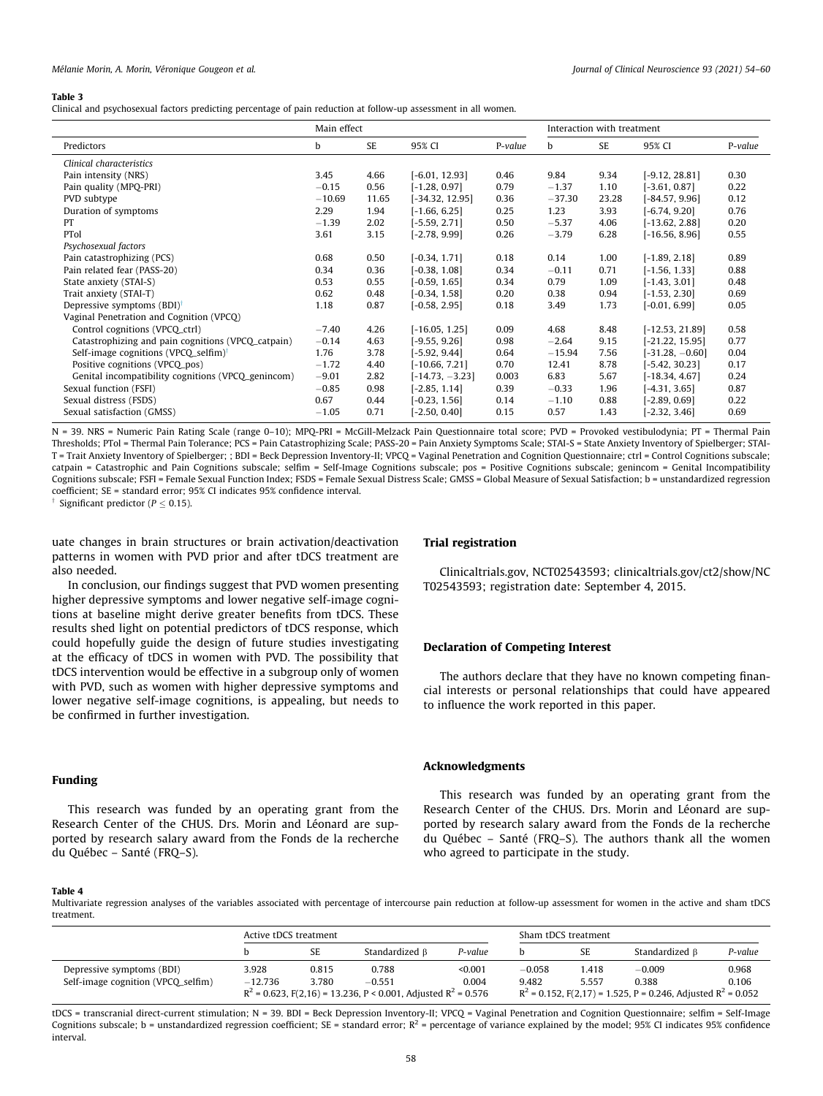#### <span id="page-4-0"></span>Table 3

Clinical and psychosexual factors predicting percentage of pain reduction at follow-up assessment in all women.

|                                                    | Main effect |           |                   | Interaction with treatment |          |           |                   |         |
|----------------------------------------------------|-------------|-----------|-------------------|----------------------------|----------|-----------|-------------------|---------|
| Predictors                                         | b           | <b>SE</b> | 95% CI            | P-value                    | b        | <b>SE</b> | 95% CI            | P-value |
| Clinical characteristics                           |             |           |                   |                            |          |           |                   |         |
| Pain intensity (NRS)                               | 3.45        | 4.66      | $[-6.01, 12.93]$  | 0.46                       | 9.84     | 9.34      | $[-9.12, 28.81]$  | 0.30    |
| Pain quality (MPQ-PRI)                             | $-0.15$     | 0.56      | $[-1.28, 0.97]$   | 0.79                       | $-1.37$  | 1.10      | $[-3.61, 0.87]$   | 0.22    |
| PVD subtype                                        | $-10.69$    | 11.65     | [-34.32, 12.95]   | 0.36                       | $-37.30$ | 23.28     | $[-84.57, 9.96]$  | 0.12    |
| Duration of symptoms                               | 2.29        | 1.94      | $[-1.66, 6.25]$   | 0.25                       | 1.23     | 3.93      | $[-6.74, 9.20]$   | 0.76    |
| PT                                                 | $-1.39$     | 2.02      | $[-5.59, 2.71]$   | 0.50                       | $-5.37$  | 4.06      | $[-13.62, 2.88]$  | 0.20    |
| PTol                                               | 3.61        | 3.15      | $[-2.78, 9.99]$   | 0.26                       | $-3.79$  | 6.28      | $[-16.56, 8.96]$  | 0.55    |
| Psychosexual factors                               |             |           |                   |                            |          |           |                   |         |
| Pain catastrophizing (PCS)                         | 0.68        | 0.50      | $[-0.34, 1.71]$   | 0.18                       | 0.14     | 1.00      | $[-1.89, 2.18]$   | 0.89    |
| Pain related fear (PASS-20)                        | 0.34        | 0.36      | $[-0.38, 1.08]$   | 0.34                       | $-0.11$  | 0.71      | $[-1.56, 1.33]$   | 0.88    |
| State anxiety (STAI-S)                             | 0.53        | 0.55      | $[-0.59, 1.65]$   | 0.34                       | 0.79     | 1.09      | $[-1.43, 3.01]$   | 0.48    |
| Trait anxiety (STAI-T)                             | 0.62        | 0.48      | $[-0.34, 1.58]$   | 0.20                       | 0.38     | 0.94      | $[-1.53, 2.30]$   | 0.69    |
| Depressive symptoms (BDI) <sup>†</sup>             | 1.18        | 0.87      | $[-0.58, 2.95]$   | 0.18                       | 3.49     | 1.73      | $[-0.01, 6.99]$   | 0.05    |
| Vaginal Penetration and Cognition (VPCQ)           |             |           |                   |                            |          |           |                   |         |
| Control cognitions (VPCQ_ctrl)                     | $-7.40$     | 4.26      | $[-16.05, 1.25]$  | 0.09                       | 4.68     | 8.48      | $[-12.53, 21.89]$ | 0.58    |
| Catastrophizing and pain cognitions (VPCQ_catpain) | $-0.14$     | 4.63      | $[-9.55, 9.26]$   | 0.98                       | $-2.64$  | 9.15      | $[-21.22, 15.95]$ | 0.77    |
| Self-image cognitions (VPCQ_selfim) <sup>†</sup>   | 1.76        | 3.78      | $[-5.92, 9.44]$   | 0.64                       | $-15.94$ | 7.56      | $[-31.28, -0.60]$ | 0.04    |
| Positive cognitions (VPCQ_pos)                     | $-1.72$     | 4.40      | $[-10.66, 7.21]$  | 0.70                       | 12.41    | 8.78      | $[-5.42, 30.23]$  | 0.17    |
| Genital incompatibility cognitions (VPCQ_genincom) | $-9.01$     | 2.82      | $[-14.73, -3.23]$ | 0.003                      | 6.83     | 5.67      | $[-18.34, 4.67]$  | 0.24    |
| Sexual function (FSFI)                             | $-0.85$     | 0.98      | $[-2.85, 1.14]$   | 0.39                       | $-0.33$  | 1.96      | $[-4.31, 3.65]$   | 0.87    |
| Sexual distress (FSDS)                             | 0.67        | 0.44      | $[-0.23, 1.56]$   | 0.14                       | $-1.10$  | 0.88      | $[-2.89, 0.69]$   | 0.22    |
| Sexual satisfaction (GMSS)                         | $-1.05$     | 0.71      | $[-2.50, 0.40]$   | 0.15                       | 0.57     | 1.43      | $[-2.32, 3.46]$   | 0.69    |

N = 39. NRS = Numeric Pain Rating Scale (range 0–10); MPQ-PRI = McGill-Melzack Pain Questionnaire total score; PVD = Provoked vestibulodynia; PT = Thermal Pain Thresholds; PTol = Thermal Pain Tolerance; PCS = Pain Catastrophizing Scale; PASS-20 = Pain Anxiety Symptoms Scale; STAI-S = State Anxiety Inventory of Spielberger; STAI-T = Trait Anxiety Inventory of Spielberger; ; BDI = Beck Depression Inventory-II; VPCQ = Vaginal Penetration and Cognition Questionnaire; ctrl = Control Cognitions subscale; catpain = Catastrophic and Pain Cognitions subscale; selfim = Self-Image Cognitions subscale; pos = Positive Cognitions subscale; genincom = Genital Incompatibility Cognitions subscale; FSFI = Female Sexual Function Index; FSDS = Female Sexual Distress Scale; GMSS = Global Measure of Sexual Satisfaction; b = unstandardized regression coefficient; SE = standard error; 95% CI indicates 95% confidence interval.

Significant predictor ( $P \le 0.15$ ).

uate changes in brain structures or brain activation/deactivation patterns in women with PVD prior and after tDCS treatment are also needed.

In conclusion, our findings suggest that PVD women presenting higher depressive symptoms and lower negative self-image cognitions at baseline might derive greater benefits from tDCS. These results shed light on potential predictors of tDCS response, which could hopefully guide the design of future studies investigating at the efficacy of tDCS in women with PVD. The possibility that tDCS intervention would be effective in a subgroup only of women with PVD, such as women with higher depressive symptoms and lower negative self-image cognitions, is appealing, but needs to be confirmed in further investigation.

#### Funding

This research was funded by an operating grant from the Research Center of the CHUS. Drs. Morin and Léonard are supported by research salary award from the Fonds de la recherche du Québec – Santé (FRQ–S).

#### Trial registration

Clinicaltrials.gov, NCT02543593; clinicaltrials.gov/ct2/show/NC T02543593; registration date: September 4, 2015.

#### Declaration of Competing Interest

The authors declare that they have no known competing financial interests or personal relationships that could have appeared to influence the work reported in this paper.

#### Acknowledgments

This research was funded by an operating grant from the Research Center of the CHUS. Drs. Morin and Léonard are supported by research salary award from the Fonds de la recherche du Québec – Santé (FRQ–S). The authors thank all the women who agreed to participate in the study.

#### Table 4

Multivariate regression analyses of the variables associated with percentage of intercourse pain reduction at follow-up assessment for women in the active and sham tDCS treatment.

|                                    | Active tDCS treatment |       |                                                                                |         | Sham tDCS treatment |           |                                                                            |         |
|------------------------------------|-----------------------|-------|--------------------------------------------------------------------------------|---------|---------------------|-----------|----------------------------------------------------------------------------|---------|
|                                    |                       | SE    | Standardized B                                                                 | P-value |                     | <b>SE</b> | Standardized B                                                             | P-value |
| Depressive symptoms (BDI)          | 3.928                 | 0.815 | 0.788                                                                          | < 0.001 | $-0.058$            | 1.418     | $-0.009$                                                                   | 0.968   |
| Self-image cognition (VPCQ_selfim) | $-12.736$             | 3.780 | $-0.551$<br>$R^2$ = 0.623, F(2,16) = 13.236, P < 0.001, Adjusted $R^2$ = 0.576 | 0.004   | 9.482               | 5.557     | 0.388<br>$R^2$ = 0.152, F(2,17) = 1.525, P = 0.246, Adjusted $R^2$ = 0.052 | 0.106   |

tDCS = transcranial direct-current stimulation; N = 39. BDI = Beck Depression Inventory-II; VPCQ = Vaginal Penetration and Cognition Questionnaire; selfim = Self-Image Cognitions subscale; b = unstandardized regression coefficient; SE = standard error;  $R^2$  = percentage of variance explained by the model; 95% CI indicates 95% confidence interval.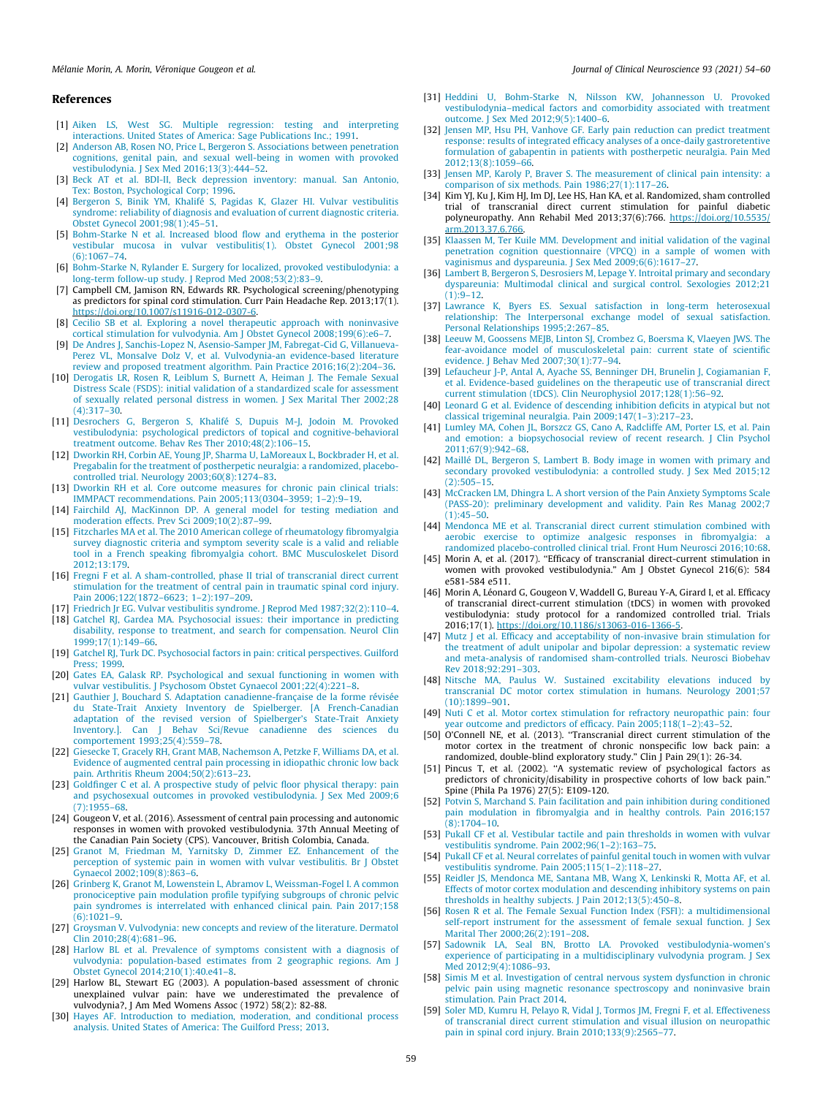### <span id="page-5-0"></span>References

- [1] [Aiken LS, West SG. Multiple regression: testing and interpreting](http://refhub.elsevier.com/S0967-5868(21)00413-6/h0005) [interactions. United States of America: Sage Publications Inc.; 1991.](http://refhub.elsevier.com/S0967-5868(21)00413-6/h0005)
- [2] [Anderson AB, Rosen NO, Price L, Bergeron S. Associations between penetration](http://refhub.elsevier.com/S0967-5868(21)00413-6/h0010) [cognitions, genital pain, and sexual well-being in women with provoked](http://refhub.elsevier.com/S0967-5868(21)00413-6/h0010) [vestibulodynia. J Sex Med 2016;13\(3\):444–52](http://refhub.elsevier.com/S0967-5868(21)00413-6/h0010).
- [3] [Beck AT et al. BDI-II, Beck depression inventory: manual. San Antonio,](http://refhub.elsevier.com/S0967-5868(21)00413-6/h0015) [Tex: Boston, Psychological Corp; 1996.](http://refhub.elsevier.com/S0967-5868(21)00413-6/h0015)
- [4] [Bergeron S, Binik YM, Khalifé S, Pagidas K, Glazer HI. Vulvar vestibulitis](http://refhub.elsevier.com/S0967-5868(21)00413-6/h0020) [syndrome: reliability of diagnosis and evaluation of current diagnostic criteria.](http://refhub.elsevier.com/S0967-5868(21)00413-6/h0020) [Obstet Gynecol 2001;98\(1\):45–51](http://refhub.elsevier.com/S0967-5868(21)00413-6/h0020).
- [5] [Bohm-Starke N et al. Increased blood flow and erythema in the posterior](http://refhub.elsevier.com/S0967-5868(21)00413-6/h0025) [vestibular mucosa in vulvar vestibulitis\(1\). Obstet Gynecol 2001;98](http://refhub.elsevier.com/S0967-5868(21)00413-6/h0025) [\(6\):1067–74](http://refhub.elsevier.com/S0967-5868(21)00413-6/h0025).
- [6] [Bohm-Starke N, Rylander E. Surgery for localized, provoked vestibulodynia: a](http://refhub.elsevier.com/S0967-5868(21)00413-6/h0030) [long-term follow-up study. J Reprod Med 2008;53\(2\):83–9](http://refhub.elsevier.com/S0967-5868(21)00413-6/h0030). [7] Campbell CM, Jamison RN, Edwards RR. Psychological screening/phenotyping
- as predictors for spinal cord stimulation. Curr Pain Headache Rep. 2013;17(1). <https://doi.org/10.1007/s11916-012-0307-6>.
- [8] [Cecilio SB et al. Exploring a novel therapeutic approach with noninvasive](http://refhub.elsevier.com/S0967-5868(21)00413-6/h0040) [cortical stimulation for vulvodynia. Am J Obstet Gynecol 2008;199\(6\):e6–7.](http://refhub.elsevier.com/S0967-5868(21)00413-6/h0040)
- [9] [De Andres J, Sanchis-Lopez N, Asensio-Samper JM, Fabregat-Cid G, Villanueva-](http://refhub.elsevier.com/S0967-5868(21)00413-6/h0045)[Perez VL, Monsalve Dolz V, et al. Vulvodynia-an evidence-based literature](http://refhub.elsevier.com/S0967-5868(21)00413-6/h0045) [review and proposed treatment algorithm. Pain Practice 2016;16\(2\):204–36.](http://refhub.elsevier.com/S0967-5868(21)00413-6/h0045)
- [10] [Derogatis LR, Rosen R, Leiblum S, Burnett A, Heiman J. The Female Sexual](http://refhub.elsevier.com/S0967-5868(21)00413-6/h0050) [Distress Scale \(FSDS\): initial validation of a standardized scale for assessment](http://refhub.elsevier.com/S0967-5868(21)00413-6/h0050) [of sexually related personal distress in women. J Sex Marital Ther 2002;28](http://refhub.elsevier.com/S0967-5868(21)00413-6/h0050)  $(4)$  $317 - 30$ .
- [11] [Desrochers G, Bergeron S, Khalifé S, Dupuis M-J, Jodoin M. Provoked](http://refhub.elsevier.com/S0967-5868(21)00413-6/h0055) [vestibulodynia: psychological predictors of topical and cognitive-behavioral](http://refhub.elsevier.com/S0967-5868(21)00413-6/h0055) [treatment outcome. Behav Res Ther 2010;48\(2\):106–15](http://refhub.elsevier.com/S0967-5868(21)00413-6/h0055).
- [12] [Dworkin RH, Corbin AE, Young JP, Sharma U, LaMoreaux L, Bockbrader H, et al.](http://refhub.elsevier.com/S0967-5868(21)00413-6/h0060) [Pregabalin for the treatment of postherpetic neuralgia: a randomized, placebo](http://refhub.elsevier.com/S0967-5868(21)00413-6/h0060)[controlled trial. Neurology 2003;60\(8\):1274–83](http://refhub.elsevier.com/S0967-5868(21)00413-6/h0060).
- [13] [Dworkin RH et al. Core outcome measures for chronic pain clinical trials:](http://refhub.elsevier.com/S0967-5868(21)00413-6/h0065) [IMMPACT recommendations. Pain 2005;113\(0304–3959; 1–2\):9–19](http://refhub.elsevier.com/S0967-5868(21)00413-6/h0065).
- [14] [Fairchild AJ, MacKinnon DP. A general model for testing mediation and](http://refhub.elsevier.com/S0967-5868(21)00413-6/h0070) [moderation effects. Prev Sci 2009;10\(2\):87–99](http://refhub.elsevier.com/S0967-5868(21)00413-6/h0070).
- [15] [Fitzcharles MA et al. The 2010 American college of rheumatology fibromyalgia](http://refhub.elsevier.com/S0967-5868(21)00413-6/h0075) [survey diagnostic criteria and symptom severity scale is a valid and reliable](http://refhub.elsevier.com/S0967-5868(21)00413-6/h0075) [tool in a French speaking fibromyalgia cohort. BMC Musculoskelet Disord](http://refhub.elsevier.com/S0967-5868(21)00413-6/h0075) [2012;13:179](http://refhub.elsevier.com/S0967-5868(21)00413-6/h0075).
- [16] [Fregni F et al. A sham-controlled, phase II trial of transcranial direct current](http://refhub.elsevier.com/S0967-5868(21)00413-6/h0080) [stimulation for the treatment of central pain in traumatic spinal cord injury.](http://refhub.elsevier.com/S0967-5868(21)00413-6/h0080) [Pain 2006;122\(1872–6623; 1–2\):197–209](http://refhub.elsevier.com/S0967-5868(21)00413-6/h0080).
- [17] [Friedrich Jr EG. Vulvar vestibulitis syndrome. J Reprod Med 1987;32\(2\):110–4](http://refhub.elsevier.com/S0967-5868(21)00413-6/h0085).
- [18] [Gatchel RJ, Gardea MA. Psychosocial issues: their importance in predicting](http://refhub.elsevier.com/S0967-5868(21)00413-6/h0090) [disability, response to treatment, and search for compensation. Neurol Clin](http://refhub.elsevier.com/S0967-5868(21)00413-6/h0090) [1999;17\(1\):149–66](http://refhub.elsevier.com/S0967-5868(21)00413-6/h0090).
- [19] [Gatchel RJ, Turk DC. Psychosocial factors in pain: critical perspectives. Guilford](http://refhub.elsevier.com/S0967-5868(21)00413-6/h0095) [Press; 1999](http://refhub.elsevier.com/S0967-5868(21)00413-6/h0095).
- [20] [Gates EA, Galask RP. Psychological and sexual functioning in women with](http://refhub.elsevier.com/S0967-5868(21)00413-6/h0100) [vulvar vestibulitis. J Psychosom Obstet Gynaecol 2001;22\(4\):221–8](http://refhub.elsevier.com/S0967-5868(21)00413-6/h0100).
- [21] [Gauthier J, Bouchard S. Adaptation canadienne-française de la forme révisée](http://refhub.elsevier.com/S0967-5868(21)00413-6/h0105) [du State-Trait Anxiety Inventory de Spielberger. \[A French-Canadian](http://refhub.elsevier.com/S0967-5868(21)00413-6/h0105) [adaptation of the revised version of Spielberger's State-Trait Anxiety](http://refhub.elsevier.com/S0967-5868(21)00413-6/h0105) [Inventory.\]. Can J Behav Sci/Revue canadienne des sciences du](http://refhub.elsevier.com/S0967-5868(21)00413-6/h0105) [comportement 1993;25\(4\):559–78](http://refhub.elsevier.com/S0967-5868(21)00413-6/h0105).
- [22] [Giesecke T, Gracely RH, Grant MAB, Nachemson A, Petzke F, Williams DA, et al.](http://refhub.elsevier.com/S0967-5868(21)00413-6/h0110) [Evidence of augmented central pain processing in idiopathic chronic low back](http://refhub.elsevier.com/S0967-5868(21)00413-6/h0110) [pain. Arthritis Rheum 2004;50\(2\):613–23.](http://refhub.elsevier.com/S0967-5868(21)00413-6/h0110)
- [23] [Goldfinger C et al. A prospective study of pelvic floor physical therapy: pain](http://refhub.elsevier.com/S0967-5868(21)00413-6/h0115) [and psychosexual outcomes in provoked vestibulodynia. J Sex Med 2009;6](http://refhub.elsevier.com/S0967-5868(21)00413-6/h0115) [\(7\):1955–68.](http://refhub.elsevier.com/S0967-5868(21)00413-6/h0115)
- [24] Gougeon V, et al. (2016). Assessment of central pain processing and autonomic responses in women with provoked vestibulodynia. 37th Annual Meeting of the Canadian Pain Society (CPS). Vancouver, British Colombia, Canada.
- [25] [Granot M, Friedman M, Yarnitsky D, Zimmer EZ. Enhancement of the](http://refhub.elsevier.com/S0967-5868(21)00413-6/h0125) [perception of systemic pain in women with vulvar vestibulitis. Br J Obstet](http://refhub.elsevier.com/S0967-5868(21)00413-6/h0125) [Gynaecol 2002;109\(8\):863–6](http://refhub.elsevier.com/S0967-5868(21)00413-6/h0125).
- [26] [Grinberg K, Granot M, Lowenstein L, Abramov L, Weissman-Fogel I. A common](http://refhub.elsevier.com/S0967-5868(21)00413-6/h0130) [pronociceptive pain modulation profile typifying subgroups of chronic pelvic](http://refhub.elsevier.com/S0967-5868(21)00413-6/h0130) [pain syndromes is interrelated with enhanced clinical pain. Pain 2017;158](http://refhub.elsevier.com/S0967-5868(21)00413-6/h0130)  $(6):1021-9.$
- [27] [Groysman V. Vulvodynia: new concepts and review of the literature. Dermatol](http://refhub.elsevier.com/S0967-5868(21)00413-6/h0135) [Clin 2010;28\(4\):681–96](http://refhub.elsevier.com/S0967-5868(21)00413-6/h0135).
- [28] [Harlow BL et al. Prevalence of symptoms consistent with a diagnosis of](http://refhub.elsevier.com/S0967-5868(21)00413-6/h0140) [vulvodynia: population-based estimates from 2 geographic regions. Am J](http://refhub.elsevier.com/S0967-5868(21)00413-6/h0140) [Obstet Gynecol 2014;210\(1\):40.e41–8](http://refhub.elsevier.com/S0967-5868(21)00413-6/h0140).
- [29] Harlow BL, Stewart EG (2003). A population-based assessment of chronic unexplained vulvar pain: have we underestimated the prevalence of vulvodynia?, J Am Med Womens Assoc (1972) 58(2): 82-88.
- [30] [Hayes AF. Introduction to mediation, moderation, and conditional process](http://refhub.elsevier.com/S0967-5868(21)00413-6/h0150) [analysis. United States of America: The Guilford Press; 2013.](http://refhub.elsevier.com/S0967-5868(21)00413-6/h0150)
- [31] [Heddini U, Bohm-Starke N, Nilsson KW, Johannesson U. Provoked](http://refhub.elsevier.com/S0967-5868(21)00413-6/h0155) [vestibulodynia–medical factors and comorbidity associated with treatment](http://refhub.elsevier.com/S0967-5868(21)00413-6/h0155) [outcome. J Sex Med 2012;9\(5\):1400–6.](http://refhub.elsevier.com/S0967-5868(21)00413-6/h0155)
- [32] [Jensen MP, Hsu PH, Vanhove GF. Early pain reduction can predict treatment](http://refhub.elsevier.com/S0967-5868(21)00413-6/h0160) [response: results of integrated efficacy analyses of a once-daily gastroretentive](http://refhub.elsevier.com/S0967-5868(21)00413-6/h0160) [formulation of gabapentin in patients with postherpetic neuralgia. Pain Med](http://refhub.elsevier.com/S0967-5868(21)00413-6/h0160) [2012;13\(8\):1059–66.](http://refhub.elsevier.com/S0967-5868(21)00413-6/h0160)
- [33] [Jensen MP, Karoly P, Braver S. The measurement of clinical pain intensity: a](http://refhub.elsevier.com/S0967-5868(21)00413-6/h0165) [comparison of six methods. Pain 1986;27\(1\):117–26.](http://refhub.elsevier.com/S0967-5868(21)00413-6/h0165)
- [34] Kim YJ, Ku J, Kim HJ, Im DJ, Lee HS, Han KA, et al. Randomized, sham controlled trial of transcranial direct current stimulation for painful diabetic polyneuropathy. Ann Rehabil Med 2013;37(6):766. [https://doi.org/10.5535/](https://doi.org/10.5535/arm.2013.37.6.766) [arm.2013.37.6.766.](https://doi.org/10.5535/arm.2013.37.6.766)
- [35] [Klaassen M, Ter Kuile MM. Development and initial validation of the vaginal](http://refhub.elsevier.com/S0967-5868(21)00413-6/h0175) [penetration cognition questionnaire \(VPCQ\) in a sample of women with](http://refhub.elsevier.com/S0967-5868(21)00413-6/h0175) [vaginismus and dyspareunia. J Sex Med 2009;6\(6\):1617–27.](http://refhub.elsevier.com/S0967-5868(21)00413-6/h0175)
- [36] [Lambert B, Bergeron S, Desrosiers M, Lepage Y. Introital primary and secondary](http://refhub.elsevier.com/S0967-5868(21)00413-6/h0180) [dyspareunia: Multimodal clinical and surgical control. Sexologies 2012;21](http://refhub.elsevier.com/S0967-5868(21)00413-6/h0180)  $(1):9-12.$
- [37] [Lawrance K, Byers ES. Sexual satisfaction in long-term heterosexual](http://refhub.elsevier.com/S0967-5868(21)00413-6/h0185) [relationship: The Interpersonal exchange model of sexual satisfaction.](http://refhub.elsevier.com/S0967-5868(21)00413-6/h0185) [Personal Relationships 1995;2:267–85](http://refhub.elsevier.com/S0967-5868(21)00413-6/h0185).
- [38] [Leeuw M, Goossens MEJB, Linton SJ, Crombez G, Boersma K, Vlaeyen JWS. The](http://refhub.elsevier.com/S0967-5868(21)00413-6/h0190) [fear-avoidance model of musculoskeletal pain: current state of scientific](http://refhub.elsevier.com/S0967-5868(21)00413-6/h0190) [evidence. J Behav Med 2007;30\(1\):77–94.](http://refhub.elsevier.com/S0967-5868(21)00413-6/h0190)
- [39] [Lefaucheur J-P, Antal A, Ayache SS, Benninger DH, Brunelin J, Cogiamanian F,](http://refhub.elsevier.com/S0967-5868(21)00413-6/h0195) [et al. Evidence-based guidelines on the therapeutic use of transcranial direct](http://refhub.elsevier.com/S0967-5868(21)00413-6/h0195) [current stimulation \(tDCS\). Clin Neurophysiol 2017;128\(1\):56–92](http://refhub.elsevier.com/S0967-5868(21)00413-6/h0195).
- [40] [Leonard G et al. Evidence of descending inhibition deficits in atypical but not](http://refhub.elsevier.com/S0967-5868(21)00413-6/h0200) [classical trigeminal neuralgia. Pain 2009;147\(1–3\):217–23](http://refhub.elsevier.com/S0967-5868(21)00413-6/h0200).
- [41] [Lumley MA, Cohen JL, Borszcz GS, Cano A, Radcliffe AM, Porter LS, et al. Pain](http://refhub.elsevier.com/S0967-5868(21)00413-6/h0205) [and emotion: a biopsychosocial review of recent research. J Clin Psychol](http://refhub.elsevier.com/S0967-5868(21)00413-6/h0205) [2011;67\(9\):942–68](http://refhub.elsevier.com/S0967-5868(21)00413-6/h0205).
- [42] [Maillé DL, Bergeron S, Lambert B. Body image in women with primary and](http://refhub.elsevier.com/S0967-5868(21)00413-6/h0210) [secondary provoked vestibulodynia: a controlled study. J Sex Med 2015;12](http://refhub.elsevier.com/S0967-5868(21)00413-6/h0210)  $(2):505 - 15.$
- [43] [McCracken LM, Dhingra L. A short version of the Pain Anxiety Symptoms Scale](http://refhub.elsevier.com/S0967-5868(21)00413-6/h0215) [\(PASS-20\): preliminary development and validity. Pain Res Manag 2002;7](http://refhub.elsevier.com/S0967-5868(21)00413-6/h0215)  $(1):45-50.$
- [44] [Mendonca ME et al. Transcranial direct current stimulation combined with](http://refhub.elsevier.com/S0967-5868(21)00413-6/h0220) [aerobic exercise to optimize analgesic responses in fibromyalgia: a](http://refhub.elsevier.com/S0967-5868(21)00413-6/h0220) [randomized placebo-controlled clinical trial. Front Hum Neurosci 2016;10:68](http://refhub.elsevier.com/S0967-5868(21)00413-6/h0220).
- [45] Morin A, et al. (2017). "Efficacy of transcranial direct-current stimulation in women with provoked vestibulodynia." Am J Obstet Gynecol 216(6): 584 e581-584 e511.
- [46] Morin A, Léonard G, Gougeon V, Waddell G, Bureau Y-A, Girard I, et al. Efficacy of transcranial direct-current stimulation (tDCS) in women with provoked vestibulodynia: study protocol for a randomized controlled trial. Trials 2016;17(1). [https://doi.org/10.1186/s13063-016-1366-5.](https://doi.org/10.1186/s13063-016-1366-5)
- [47] [Mutz J et al. Efficacy and acceptability of non-invasive brain stimulation for](http://refhub.elsevier.com/S0967-5868(21)00413-6/h0235) [the treatment of adult unipolar and bipolar depression: a systematic review](http://refhub.elsevier.com/S0967-5868(21)00413-6/h0235) [and meta-analysis of randomised sham-controlled trials. Neurosci Biobehav](http://refhub.elsevier.com/S0967-5868(21)00413-6/h0235) [Rev 2018;92:291–303](http://refhub.elsevier.com/S0967-5868(21)00413-6/h0235).
- [48] [Nitsche MA, Paulus W. Sustained excitability elevations induced by](http://refhub.elsevier.com/S0967-5868(21)00413-6/h0240) [transcranial DC motor cortex stimulation in humans. Neurology 2001;57](http://refhub.elsevier.com/S0967-5868(21)00413-6/h0240) [\(10\):1899–901](http://refhub.elsevier.com/S0967-5868(21)00413-6/h0240).
- [49] [Nuti C et al. Motor cortex stimulation for refractory neuropathic pain: four](http://refhub.elsevier.com/S0967-5868(21)00413-6/h0245) [year outcome and predictors of efficacy. Pain 2005;118\(1–2\):43–52](http://refhub.elsevier.com/S0967-5868(21)00413-6/h0245).
- [50] O'Connell NE, et al. (2013). "Transcranial direct current stimulation of the motor cortex in the treatment of chronic nonspecific low back pain: a randomized, double-blind exploratory study." Clin J Pain 29(1): 26-34.
- [51] Pincus T, et al. (2002). "A systematic review of psychological factors as predictors of chronicity/disability in prospective cohorts of low back pain." Spine (Phila Pa 1976) 27(5): E109-120.
- [52] [Potvin S, Marchand S. Pain facilitation and pain inhibition during conditioned](http://refhub.elsevier.com/S0967-5868(21)00413-6/h0260) [pain modulation in fibromyalgia and in healthy controls. Pain 2016;157](http://refhub.elsevier.com/S0967-5868(21)00413-6/h0260) [\(8\):1704–10.](http://refhub.elsevier.com/S0967-5868(21)00413-6/h0260)
- [53] [Pukall CF et al. Vestibular tactile and pain thresholds in women with vulvar](http://refhub.elsevier.com/S0967-5868(21)00413-6/h0265) [vestibulitis syndrome. Pain 2002;96\(1–2\):163–75](http://refhub.elsevier.com/S0967-5868(21)00413-6/h0265).
- [54] [Pukall CF et al. Neural correlates of painful genital touch in women with vulvar](http://refhub.elsevier.com/S0967-5868(21)00413-6/h0270) [vestibulitis syndrome. Pain 2005;115\(1–2\):118–27](http://refhub.elsevier.com/S0967-5868(21)00413-6/h0270).
- [55] [Reidler JS, Mendonca ME, Santana MB, Wang X, Lenkinski R, Motta AF, et al.](http://refhub.elsevier.com/S0967-5868(21)00413-6/h0275) [Effects of motor cortex modulation and descending inhibitory systems on pain](http://refhub.elsevier.com/S0967-5868(21)00413-6/h0275) [thresholds in healthy subjects. J Pain 2012;13\(5\):450–8.](http://refhub.elsevier.com/S0967-5868(21)00413-6/h0275)
- [56] [Rosen R et al. The Female Sexual Function Index \(FSFI\): a multidimensional](http://refhub.elsevier.com/S0967-5868(21)00413-6/h0280) self-report instrument for the assessment of female sexual function. I Sex [Marital Ther 2000;26\(2\):191–208.](http://refhub.elsevier.com/S0967-5868(21)00413-6/h0280)
- [57] [Sadownik LA, Seal BN, Brotto LA. Provoked vestibulodynia-women's](http://refhub.elsevier.com/S0967-5868(21)00413-6/h0285) [experience of participating in a multidisciplinary vulvodynia program. J Sex](http://refhub.elsevier.com/S0967-5868(21)00413-6/h0285) [Med 2012;9\(4\):1086–93.](http://refhub.elsevier.com/S0967-5868(21)00413-6/h0285)
- [58] [Simis M et al. Investigation of central nervous system dysfunction in chronic](http://refhub.elsevier.com/S0967-5868(21)00413-6/h0290) [pelvic pain using magnetic resonance spectroscopy and noninvasive brain](http://refhub.elsevier.com/S0967-5868(21)00413-6/h0290) [stimulation. Pain Pract 2014.](http://refhub.elsevier.com/S0967-5868(21)00413-6/h0290)
- [59] [Soler MD, Kumru H, Pelayo R, Vidal J, Tormos JM, Fregni F, et al. Effectiveness](http://refhub.elsevier.com/S0967-5868(21)00413-6/h0295) [of transcranial direct current stimulation and visual illusion on neuropathic](http://refhub.elsevier.com/S0967-5868(21)00413-6/h0295) [pain in spinal cord injury. Brain 2010;133\(9\):2565–77.](http://refhub.elsevier.com/S0967-5868(21)00413-6/h0295)